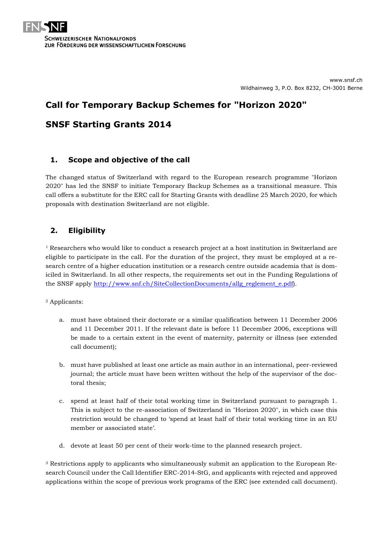# **Call for Temporary Backup Schemes for "Horizon 2020"**

# **SNSF Starting Grants 2014**

# **1. Scope and objective of the call**

The changed status of Switzerland with regard to the European research programme "Horizon 2020" has led the SNSF to initiate Temporary Backup Schemes as a transitional measure. This call offers a substitute for the ERC call for Starting Grants with deadline 25 March 2020, for which proposals with destination Switzerland are not eligible.

# **2. Eligibility**

 $1$  Researchers who would like to conduct a research project at a host institution in Switzerland are eligible to participate in the call. For the duration of the project, they must be employed at a research centre of a higher education institution or a research centre outside academia that is domiciled in Switzerland. In all other respects, the requirements set out in the Funding Regulations of the SNSF apply [http://www.snf.ch/SiteCollectionDocuments/allg\\_reglement\\_e.pdf\)](http://www.snf.ch/SiteCollectionDocuments/allg_reglement_e.pdf).

<sup>2</sup> Applicants:

- a. must have obtained their doctorate or a similar qualification between 11 December 2006 and 11 December 2011. If the relevant date is before 11 December 2006, exceptions will be made to a certain extent in the event of maternity, paternity or illness (see extended call document);
- b. must have published at least one article as main author in an international, peer-reviewed journal; the article must have been written without the help of the supervisor of the doctoral thesis;
- c. spend at least half of their total working time in Switzerland pursuant to paragraph 1. This is subject to the re-association of Switzerland in "Horizon 2020", in which case this restriction would be changed to 'spend at least half of their total working time in an EU member or associated state'.
- d. devote at least 50 per cent of their work-time to the planned research project.

<sup>3</sup> Restrictions apply to applicants who simultaneously submit an application to the European Research Council under the Call Identifier ERC-2014-StG, and applicants with rejected and approved applications within the scope of previous work programs of the ERC (see extended call document).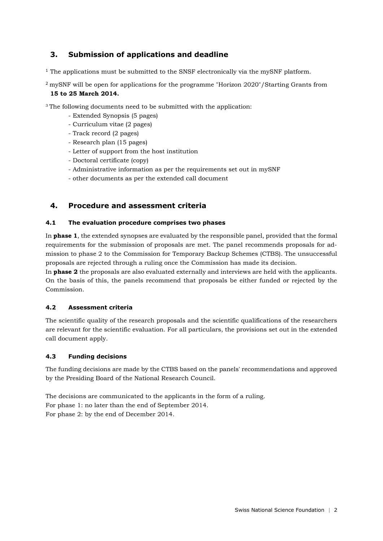# **3. Submission of applications and deadline**

<sup>1</sup> The applications must be submitted to the SNSF electronically via the mySNF platform.

<sup>2</sup>mySNF will be open for applications for the programme "Horizon 2020"/Starting Grants from **15 to 25 March 2014.**

<sup>3</sup> The following documents need to be submitted with the application:

- Extended Synopsis (5 pages)
- Curriculum vitae (2 pages)
- Track record (2 pages)
- Research plan (15 pages)
- Letter of support from the host institution
- Doctoral certificate (copy)
- Administrative information as per the requirements set out in mySNF
- other documents as per the extended call document

### **4. Procedure and assessment criteria**

#### **4.1 The evaluation procedure comprises two phases**

In **phase 1**, the extended synopses are evaluated by the responsible panel, provided that the formal requirements for the submission of proposals are met. The panel recommends proposals for admission to phase 2 to the Commission for Temporary Backup Schemes (CTBS). The unsuccessful proposals are rejected through a ruling once the Commission has made its decision.

In **phase 2** the proposals are also evaluated externally and interviews are held with the applicants. On the basis of this, the panels recommend that proposals be either funded or rejected by the Commission.

#### **4.2 Assessment criteria**

The scientific quality of the research proposals and the scientific qualifications of the researchers are relevant for the scientific evaluation. For all particulars, the provisions set out in the extended call document apply.

#### **4.3 Funding decisions**

The funding decisions are made by the CTBS based on the panels' recommendations and approved by the Presiding Board of the National Research Council.

The decisions are communicated to the applicants in the form of a ruling. For phase 1: no later than the end of September 2014. For phase 2: by the end of December 2014.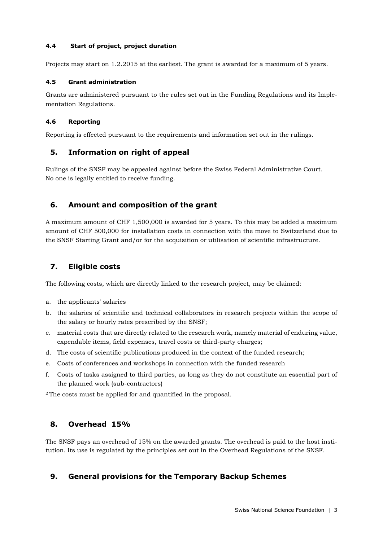#### **4.4 Start of project, project duration**

Projects may start on 1.2.2015 at the earliest. The grant is awarded for a maximum of 5 years.

#### **4.5 Grant administration**

Grants are administered pursuant to the rules set out in the Funding Regulations and its Implementation Regulations.

#### **4.6 Reporting**

Reporting is effected pursuant to the requirements and information set out in the rulings.

### **5. Information on right of appeal**

Rulings of the SNSF may be appealed against before the Swiss Federal Administrative Court. No one is legally entitled to receive funding.

# **6. Amount and composition of the grant**

A maximum amount of CHF 1,500,000 is awarded for 5 years. To this may be added a maximum amount of CHF 500,000 for installation costs in connection with the move to Switzerland due to the SNSF Starting Grant and/or for the acquisition or utilisation of scientific infrastructure.

## **7. Eligible costs**

The following costs, which are directly linked to the research project, may be claimed:

- a. the applicants' salaries
- b. the salaries of scientific and technical collaborators in research projects within the scope of the salary or hourly rates prescribed by the SNSF;
- c. material costs that are directly related to the research work, namely material of enduring value, expendable items, field expenses, travel costs or third-party charges;
- d. The costs of scientific publications produced in the context of the funded research;
- e. Costs of conferences and workshops in connection with the funded research
- f. Costs of tasks assigned to third parties, as long as they do not constitute an essential part of the planned work (sub-contractors)

<sup>2</sup>The costs must be applied for and quantified in the proposal.

# **8. Overhead 15%**

The SNSF pays an overhead of 15% on the awarded grants. The overhead is paid to the host institution. Its use is regulated by the principles set out in the Overhead Regulations of the SNSF.

# **9. General provisions for the Temporary Backup Schemes**